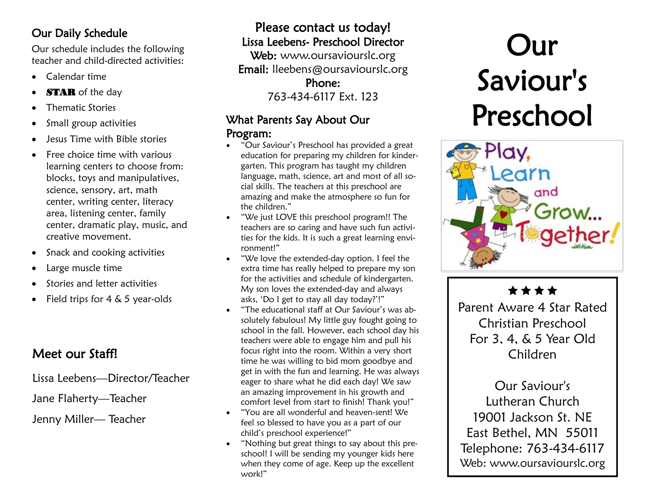# Our Daily Schedule

Our schedule includes the following teacher and child-directed activities:

- Calendar time
- **STAR** of the day
- Thematic Stories
- Small group activities
- Jesus Time with Bible stories
- Free choice time with various learning centers to choose from: blocks, toys and manipulatives, science, sensory, art, math center, writing center, literacy area, listening center, family center, dramatic play, music, and creative movement.
- Snack and cooking activities
- Large muscle time
- Stories and letter activities
- Field trips for 4 & 5 year-olds

# Meet our Staff!

Lissa Leebens—Director/Teacher

# Jane Flaherty—Teacher

Jenny Miller— Teacher

# Please contact us today! Lissa Leebens- Preschool Director Web: www.oursaviourslc.org

Email: lleebens@oursaviourslc.org Phone: 763-434-6117 Ext. 123

### What Parents Say About Our Program:

- "Our Saviour's Preschool has provided a great education for preparing my children for kindergarten. This program has taught my children language, math, science, art and most of all social skills. The teachers at this preschool are amazing and make the atmosphere so fun for the children."
- "We just LOVE this preschool program!! The teachers are so caring and have such fun activities for the kids. It is such a great learning environment!"
- "We love the extended-day option. I feel the extra time has really helped to prepare my son for the activities and schedule of kindergarten. My son loves the extended-day and always asks, 'Do I get to stay all day today?'!"
- "The educational staff at Our Saviour's was absolutely fabulous! My little guy fought going to school in the fall. However, each school day his teachers were able to engage him and pull his focus right into the room. Within a very short time he was willing to bid mom goodbye and get in with the fun and learning. He was always eager to share what he did each day! We saw an amazing improvement in his growth and comfort level from start to finish! Thank you!"
- "You are all wonderful and heaven-sent! We feel so blessed to have you as a part of our child's preschool experience!"
- "Nothing but great things to say about this preschool! I will be sending my younger kids here when they come of age. Keep up the excellent work!"

# Our Saviour's Preschool



\*\*\*\*

Parent Aware 4 Star Rated Christian Preschool For 3, 4, & 5 Year Old Children

Our Saviour's Lutheran Church 19001 Jackson St. NE East Bethel, MN 55011 Telephone: 763-434-6117 Web: www.oursaviourslc.org